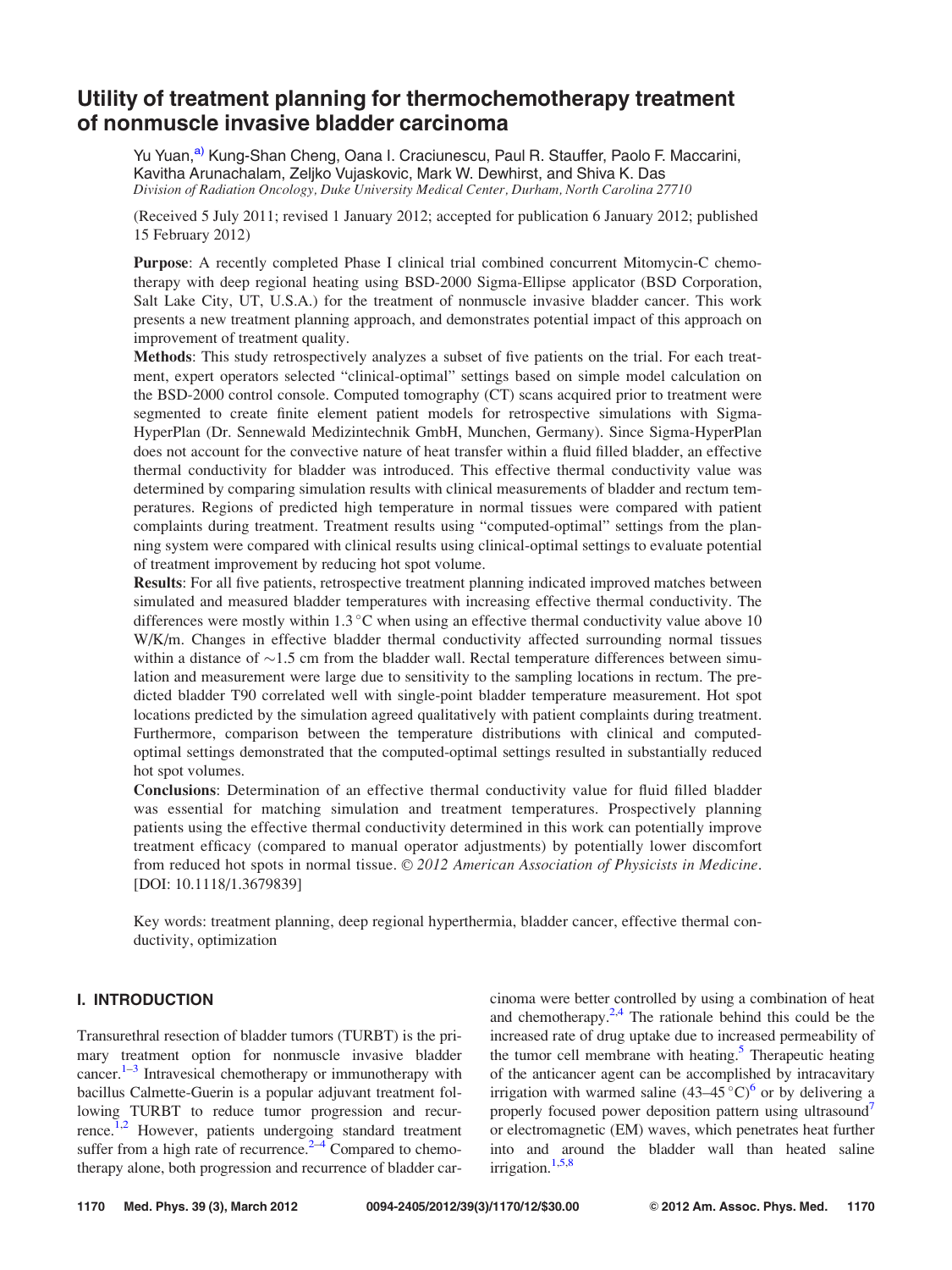# Utility of treatment planning for thermochemotherapy treatment of nonmuscle invasive bladder carcinoma

Yu Yuan,<sup>a)</sup> Kung-Shan Cheng, Oana I. Craciunescu, Paul R. Stauffer, Paolo F. Maccarini, Kavitha Arunachalam, Zeljko Vujaskovic, Mark W. Dewhirst, and Shiva K. Das Division of Radiation Oncology, Duke University Medical Center, Durham, North Carolina 27710

(Received 5 July 2011; revised 1 January 2012; accepted for publication 6 January 2012; published 15 February 2012)

Purpose: A recently completed Phase I clinical trial combined concurrent Mitomycin-C chemotherapy with deep regional heating using BSD-2000 Sigma-Ellipse applicator (BSD Corporation, Salt Lake City, UT, U.S.A.) for the treatment of nonmuscle invasive bladder cancer. This work presents a new treatment planning approach, and demonstrates potential impact of this approach on improvement of treatment quality.

Methods: This study retrospectively analyzes a subset of five patients on the trial. For each treatment, expert operators selected "clinical-optimal" settings based on simple model calculation on the BSD-2000 control console. Computed tomography (CT) scans acquired prior to treatment were segmented to create finite element patient models for retrospective simulations with Sigma-HyperPlan (Dr. Sennewald Medizintechnik GmbH, Munchen, Germany). Since Sigma-HyperPlan does not account for the convective nature of heat transfer within a fluid filled bladder, an effective thermal conductivity for bladder was introduced. This effective thermal conductivity value was determined by comparing simulation results with clinical measurements of bladder and rectum temperatures. Regions of predicted high temperature in normal tissues were compared with patient complaints during treatment. Treatment results using "computed-optimal" settings from the planning system were compared with clinical results using clinical-optimal settings to evaluate potential of treatment improvement by reducing hot spot volume.

Results: For all five patients, retrospective treatment planning indicated improved matches between simulated and measured bladder temperatures with increasing effective thermal conductivity. The differences were mostly within  $1.3 \degree C$  when using an effective thermal conductivity value above 10 W/K/m. Changes in effective bladder thermal conductivity affected surrounding normal tissues within a distance of  $\sim$ 1.5 cm from the bladder wall. Rectal temperature differences between simulation and measurement were large due to sensitivity to the sampling locations in rectum. The predicted bladder T90 correlated well with single-point bladder temperature measurement. Hot spot locations predicted by the simulation agreed qualitatively with patient complaints during treatment. Furthermore, comparison between the temperature distributions with clinical and computedoptimal settings demonstrated that the computed-optimal settings resulted in substantially reduced hot spot volumes.

Conclusions: Determination of an effective thermal conductivity value for fluid filled bladder was essential for matching simulation and treatment temperatures. Prospectively planning patients using the effective thermal conductivity determined in this work can potentially improve treatment efficacy (compared to manual operator adjustments) by potentially lower discomfort from reduced hot spots in normal tissue.  $\oslash$  2012 American Association of Physicists in Medicine. [DOI: 10.1118/1.3679839]

Key words: treatment planning, deep regional hyperthermia, bladder cancer, effective thermal conductivity, optimization

# I. INTRODUCTION

Transurethral resection of bladder tumors (TURBT) is the primary treatment option for nonmuscle invasive bladder cancer.<sup>1-3</sup> Intravesical chemotherapy or immunotherapy with bacillus Calmette-Guerin is a popular adjuvant treatment following TURBT to reduce tumor progression and recurrence.<sup>1,2</sup> However, patients undergoing standard treatment suffer from a high rate of recurrence. $2-4$  Compared to chemotherapy alone, both progression and recurrence of bladder carcinoma were better controlled by using a combination of heat and chemotherapy. $2.4$  The rationale behind this could be the increased rate of drug uptake due to increased permeability of the tumor cell membrane with heating.<sup>5</sup> Therapeutic heating of the anticancer agent can be accomplished by intracavitary irrigation with warmed saline  $(43-45^{\circ}C)^{6}$  or by delivering a properly focused power deposition pattern using ultrasound<sup>7</sup> or electromagnetic (EM) waves, which penetrates heat further into and around the bladder wall than heated saline irrigation. $1,5,8$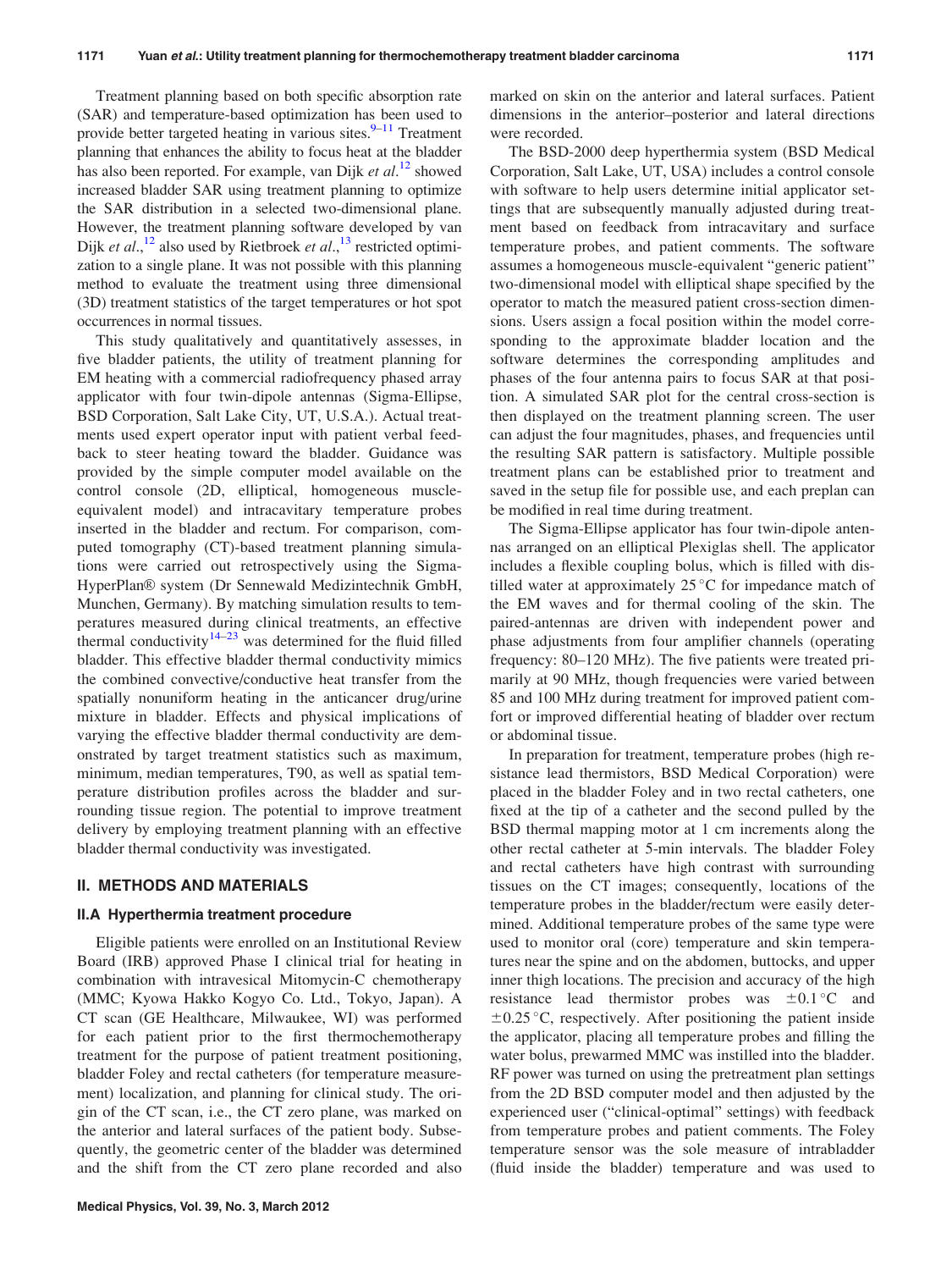Treatment planning based on both specific absorption rate (SAR) and temperature-based optimization has been used to provide better targeted heating in various sites. $9-11$  Treatment planning that enhances the ability to focus heat at the bladder has also been reported. For example, van Dijk et al.<sup>12</sup> showed increased bladder SAR using treatment planning to optimize the SAR distribution in a selected two-dimensional plane. However, the treatment planning software developed by van Dijk et al.,<sup>12</sup> also used by Rietbroek et al.,<sup>13</sup> restricted optimization to a single plane. It was not possible with this planning method to evaluate the treatment using three dimensional (3D) treatment statistics of the target temperatures or hot spot occurrences in normal tissues.

This study qualitatively and quantitatively assesses, in five bladder patients, the utility of treatment planning for EM heating with a commercial radiofrequency phased array applicator with four twin-dipole antennas (Sigma-Ellipse, BSD Corporation, Salt Lake City, UT, U.S.A.). Actual treatments used expert operator input with patient verbal feedback to steer heating toward the bladder. Guidance was provided by the simple computer model available on the control console (2D, elliptical, homogeneous muscleequivalent model) and intracavitary temperature probes inserted in the bladder and rectum. For comparison, computed tomography (CT)-based treatment planning simulations were carried out retrospectively using the Sigma-HyperPlan® system (Dr Sennewald Medizintechnik GmbH, Munchen, Germany). By matching simulation results to temperatures measured during clinical treatments, an effective thermal conductivity<sup>14–23</sup> was determined for the fluid filled bladder. This effective bladder thermal conductivity mimics the combined convective/conductive heat transfer from the spatially nonuniform heating in the anticancer drug/urine mixture in bladder. Effects and physical implications of varying the effective bladder thermal conductivity are demonstrated by target treatment statistics such as maximum, minimum, median temperatures, T90, as well as spatial temperature distribution profiles across the bladder and surrounding tissue region. The potential to improve treatment delivery by employing treatment planning with an effective bladder thermal conductivity was investigated.

# II. METHODS AND MATERIALS

#### II.A Hyperthermia treatment procedure

Eligible patients were enrolled on an Institutional Review Board (IRB) approved Phase I clinical trial for heating in combination with intravesical Mitomycin-C chemotherapy (MMC; Kyowa Hakko Kogyo Co. Ltd., Tokyo, Japan). A CT scan (GE Healthcare, Milwaukee, WI) was performed for each patient prior to the first thermochemotherapy treatment for the purpose of patient treatment positioning, bladder Foley and rectal catheters (for temperature measurement) localization, and planning for clinical study. The origin of the CT scan, i.e., the CT zero plane, was marked on the anterior and lateral surfaces of the patient body. Subsequently, the geometric center of the bladder was determined and the shift from the CT zero plane recorded and also marked on skin on the anterior and lateral surfaces. Patient dimensions in the anterior–posterior and lateral directions were recorded.

The BSD-2000 deep hyperthermia system (BSD Medical Corporation, Salt Lake, UT, USA) includes a control console with software to help users determine initial applicator settings that are subsequently manually adjusted during treatment based on feedback from intracavitary and surface temperature probes, and patient comments. The software assumes a homogeneous muscle-equivalent "generic patient" two-dimensional model with elliptical shape specified by the operator to match the measured patient cross-section dimensions. Users assign a focal position within the model corresponding to the approximate bladder location and the software determines the corresponding amplitudes and phases of the four antenna pairs to focus SAR at that position. A simulated SAR plot for the central cross-section is then displayed on the treatment planning screen. The user can adjust the four magnitudes, phases, and frequencies until the resulting SAR pattern is satisfactory. Multiple possible treatment plans can be established prior to treatment and saved in the setup file for possible use, and each preplan can be modified in real time during treatment.

The Sigma-Ellipse applicator has four twin-dipole antennas arranged on an elliptical Plexiglas shell. The applicator includes a flexible coupling bolus, which is filled with distilled water at approximately  $25^{\circ}$ C for impedance match of the EM waves and for thermal cooling of the skin. The paired-antennas are driven with independent power and phase adjustments from four amplifier channels (operating frequency: 80–120 MHz). The five patients were treated primarily at 90 MHz, though frequencies were varied between 85 and 100 MHz during treatment for improved patient comfort or improved differential heating of bladder over rectum or abdominal tissue.

In preparation for treatment, temperature probes (high resistance lead thermistors, BSD Medical Corporation) were placed in the bladder Foley and in two rectal catheters, one fixed at the tip of a catheter and the second pulled by the BSD thermal mapping motor at 1 cm increments along the other rectal catheter at 5-min intervals. The bladder Foley and rectal catheters have high contrast with surrounding tissues on the CT images; consequently, locations of the temperature probes in the bladder/rectum were easily determined. Additional temperature probes of the same type were used to monitor oral (core) temperature and skin temperatures near the spine and on the abdomen, buttocks, and upper inner thigh locations. The precision and accuracy of the high resistance lead thermistor probes was  $\pm 0.1$  °C and  $\pm 0.25$  °C, respectively. After positioning the patient inside the applicator, placing all temperature probes and filling the water bolus, prewarmed MMC was instilled into the bladder. RF power was turned on using the pretreatment plan settings from the 2D BSD computer model and then adjusted by the experienced user ("clinical-optimal" settings) with feedback from temperature probes and patient comments. The Foley temperature sensor was the sole measure of intrabladder (fluid inside the bladder) temperature and was used to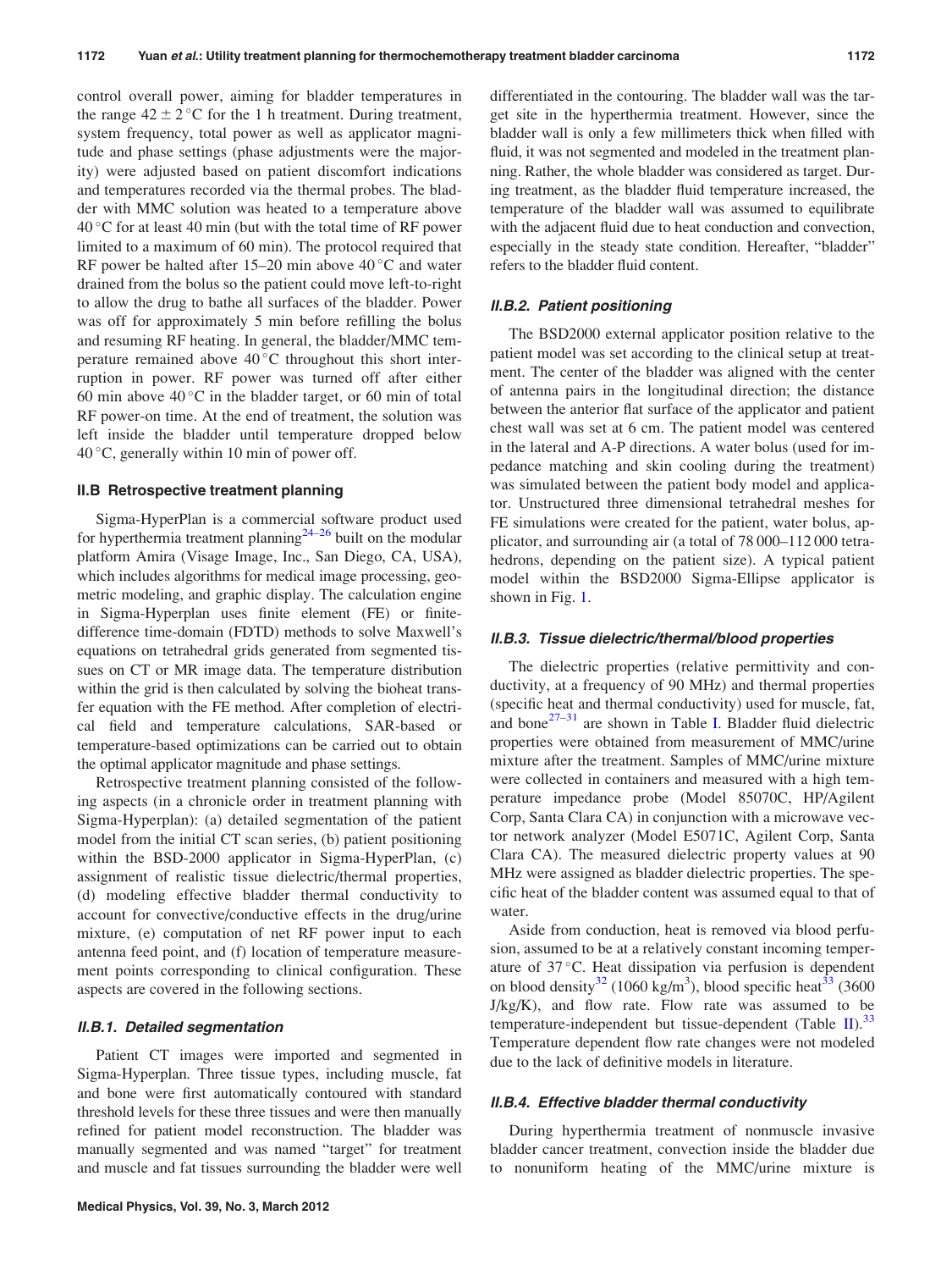control overall power, aiming for bladder temperatures in the range  $42 \pm 2^{\circ}$ C for the 1 h treatment. During treatment, system frequency, total power as well as applicator magnitude and phase settings (phase adjustments were the majority) were adjusted based on patient discomfort indications and temperatures recorded via the thermal probes. The bladder with MMC solution was heated to a temperature above  $40^{\circ}$ C for at least 40 min (but with the total time of RF power limited to a maximum of 60 min). The protocol required that RF power be halted after  $15-20$  min above  $40^{\circ}$ C and water drained from the bolus so the patient could move left-to-right to allow the drug to bathe all surfaces of the bladder. Power was off for approximately 5 min before refilling the bolus and resuming RF heating. In general, the bladder/MMC temperature remained above  $40^{\circ}$ C throughout this short interruption in power. RF power was turned off after either 60 min above  $40^{\circ}$ C in the bladder target, or 60 min of total RF power-on time. At the end of treatment, the solution was left inside the bladder until temperature dropped below 40 °C, generally within 10 min of power off.

#### II.B Retrospective treatment planning

Sigma-HyperPlan is a commercial software product used for hyperthermia treatment planning<sup>24–26</sup> built on the modular platform Amira (Visage Image, Inc., San Diego, CA, USA), which includes algorithms for medical image processing, geometric modeling, and graphic display. The calculation engine in Sigma-Hyperplan uses finite element (FE) or finitedifference time-domain (FDTD) methods to solve Maxwell's equations on tetrahedral grids generated from segmented tissues on CT or MR image data. The temperature distribution within the grid is then calculated by solving the bioheat transfer equation with the FE method. After completion of electrical field and temperature calculations, SAR-based or temperature-based optimizations can be carried out to obtain the optimal applicator magnitude and phase settings.

Retrospective treatment planning consisted of the following aspects (in a chronicle order in treatment planning with Sigma-Hyperplan): (a) detailed segmentation of the patient model from the initial CT scan series, (b) patient positioning within the BSD-2000 applicator in Sigma-HyperPlan, (c) assignment of realistic tissue dielectric/thermal properties, (d) modeling effective bladder thermal conductivity to account for convective/conductive effects in the drug/urine mixture, (e) computation of net RF power input to each antenna feed point, and (f) location of temperature measurement points corresponding to clinical configuration. These aspects are covered in the following sections.

# II.B.1. Detailed segmentation

Patient CT images were imported and segmented in Sigma-Hyperplan. Three tissue types, including muscle, fat and bone were first automatically contoured with standard threshold levels for these three tissues and were then manually refined for patient model reconstruction. The bladder was manually segmented and was named "target" for treatment and muscle and fat tissues surrounding the bladder were well differentiated in the contouring. The bladder wall was the target site in the hyperthermia treatment. However, since the bladder wall is only a few millimeters thick when filled with fluid, it was not segmented and modeled in the treatment planning. Rather, the whole bladder was considered as target. During treatment, as the bladder fluid temperature increased, the temperature of the bladder wall was assumed to equilibrate with the adjacent fluid due to heat conduction and convection, especially in the steady state condition. Hereafter, "bladder" refers to the bladder fluid content.

# II.B.2. Patient positioning

The BSD2000 external applicator position relative to the patient model was set according to the clinical setup at treatment. The center of the bladder was aligned with the center of antenna pairs in the longitudinal direction; the distance between the anterior flat surface of the applicator and patient chest wall was set at 6 cm. The patient model was centered in the lateral and A-P directions. A water bolus (used for impedance matching and skin cooling during the treatment) was simulated between the patient body model and applicator. Unstructured three dimensional tetrahedral meshes for FE simulations were created for the patient, water bolus, applicator, and surrounding air (a total of 78 000–112 000 tetrahedrons, depending on the patient size). A typical patient model within the BSD2000 Sigma-Ellipse applicator is shown in Fig. 1.

#### II.B.3. Tissue dielectric/thermal/blood properties

The dielectric properties (relative permittivity and conductivity, at a frequency of 90 MHz) and thermal properties (specific heat and thermal conductivity) used for muscle, fat, and bone $27-31$  are shown in Table I. Bladder fluid dielectric properties were obtained from measurement of MMC/urine mixture after the treatment. Samples of MMC/urine mixture were collected in containers and measured with a high temperature impedance probe (Model 85070C, HP/Agilent Corp, Santa Clara CA) in conjunction with a microwave vector network analyzer (Model E5071C, Agilent Corp, Santa Clara CA). The measured dielectric property values at 90 MHz were assigned as bladder dielectric properties. The specific heat of the bladder content was assumed equal to that of water.

Aside from conduction, heat is removed via blood perfusion, assumed to be at a relatively constant incoming temperature of 37 °C. Heat dissipation via perfusion is dependent on blood density<sup>32</sup> (1060 kg/m<sup>3</sup>), blood specific heat<sup>33</sup> (3600  $J/kg/K$ ), and flow rate. Flow rate was assumed to be temperature-independent but tissue-dependent (Table II).<sup>33</sup> Temperature dependent flow rate changes were not modeled due to the lack of definitive models in literature.

## II.B.4. Effective bladder thermal conductivity

During hyperthermia treatment of nonmuscle invasive bladder cancer treatment, convection inside the bladder due to nonuniform heating of the MMC/urine mixture is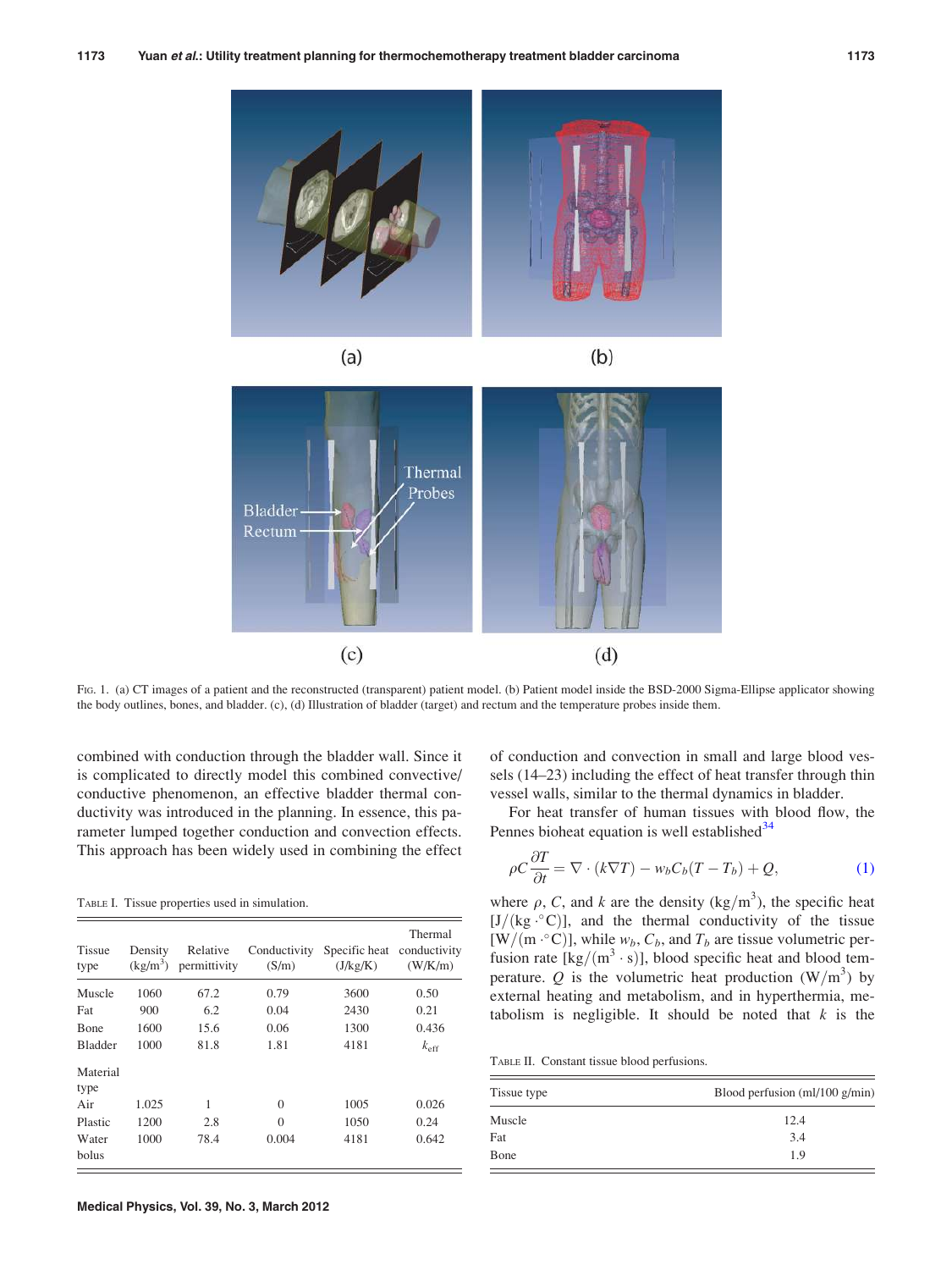



FIG. 1. (a) CT images of a patient and the reconstructed (transparent) patient model. (b) Patient model inside the BSD-2000 Sigma-Ellipse applicator showing the body outlines, bones, and bladder. (c), (d) Illustration of bladder (target) and rectum and the temperature probes inside them.

combined with conduction through the bladder wall. Since it is complicated to directly model this combined convective/ conductive phenomenon, an effective bladder thermal conductivity was introduced in the planning. In essence, this parameter lumped together conduction and convection effects. This approach has been widely used in combining the effect

TABLE I. Tissue properties used in simulation.

| <b>Tissue</b><br>type | Density<br>$\frac{\text{kg}}{\text{m}^3}$ | Relative<br>permittivity | Conductivity<br>(S/m) | Specific heat<br>(J/kg/K) | Thermal<br>conductivity<br>(W/K/m) |
|-----------------------|-------------------------------------------|--------------------------|-----------------------|---------------------------|------------------------------------|
| Muscle                | 1060                                      | 67.2                     | 0.79                  | 3600                      | 0.50                               |
| Fat                   | 900                                       | 6.2                      | 0.04                  | 2430                      | 0.21                               |
| <b>B</b> one          | 1600                                      | 15.6                     | 0.06                  | 1300                      | 0.436                              |
| <b>Bladder</b>        | 1000                                      | 81.8                     | 1.81                  | 4181                      | $k_{\rm eff}$                      |
| Material              |                                           |                          |                       |                           |                                    |
| type                  |                                           |                          |                       |                           |                                    |
| Air                   | 1.025                                     | 1                        | $\theta$              | 1005                      | 0.026                              |
| Plastic               | 1200                                      | 2.8                      | $\Omega$              | 1050                      | 0.24                               |
| Water                 | 1000                                      | 78.4                     | 0.004                 | 4181                      | 0.642                              |
| bolus                 |                                           |                          |                       |                           |                                    |

Medical Physics, Vol. 39, No. 3, March 2012

of conduction and convection in small and large blood vessels (14–23) including the effect of heat transfer through thin vessel walls, similar to the thermal dynamics in bladder.

For heat transfer of human tissues with blood flow, the Pennes bioheat equation is well established $34$ 

$$
\rho C \frac{\partial T}{\partial t} = \nabla \cdot (k \nabla T) - w_b C_b (T - T_b) + Q,\tag{1}
$$

where  $\rho$ , C, and k are the density (kg/m<sup>3</sup>), the specific heat  $[J/(kg \cdot ^{\circ}C)],$  and the thermal conductivity of the tissue [W/(m  $\cdot^{\circ}$ C)], while w<sub>b</sub>, C<sub>b</sub>, and T<sub>b</sub> are tissue volumetric perfusion rate  $\left[\frac{\text{kg}}{\text{m}^3 \cdot \text{s}}\right]$ , blood specific heat and blood temperature. Q is the volumetric heat production  $(W/m^3)$  by external heating and metabolism, and in hyperthermia, metabolism is negligible. It should be noted that  $k$  is the

TABLE II. Constant tissue blood perfusions.

| Tissue type | Blood perfusion $\text{m1/100 g/min}$ |
|-------------|---------------------------------------|
| Muscle      | 12.4                                  |
| Fat         | 3.4                                   |
| Bone        | 19                                    |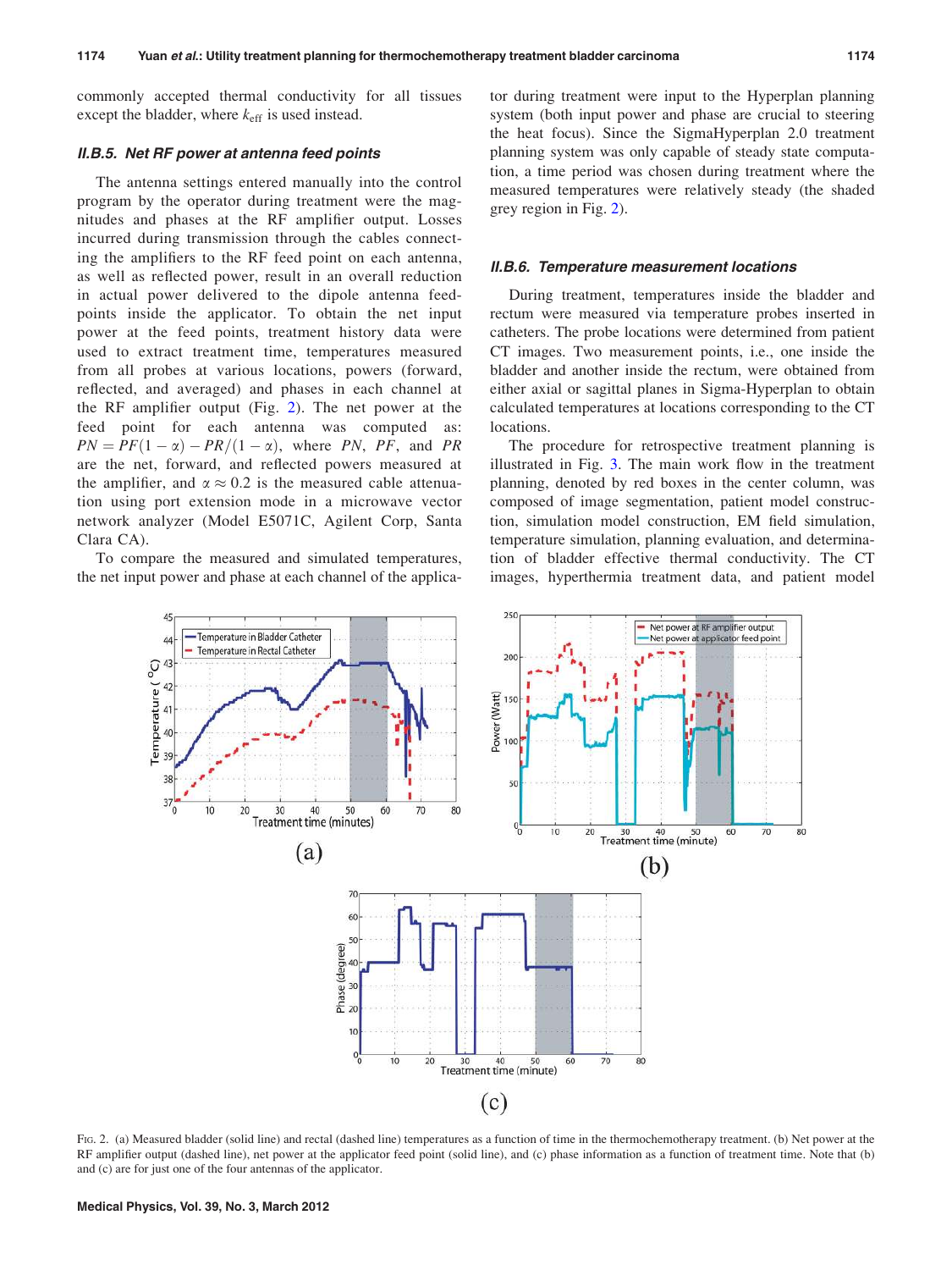commonly accepted thermal conductivity for all tissues except the bladder, where  $k_{\text{eff}}$  is used instead.

## II.B.5. Net RF power at antenna feed points

The antenna settings entered manually into the control program by the operator during treatment were the magnitudes and phases at the RF amplifier output. Losses incurred during transmission through the cables connecting the amplifiers to the RF feed point on each antenna, as well as reflected power, result in an overall reduction in actual power delivered to the dipole antenna feedpoints inside the applicator. To obtain the net input power at the feed points, treatment history data were used to extract treatment time, temperatures measured from all probes at various locations, powers (forward, reflected, and averaged) and phases in each channel at the RF amplifier output (Fig. 2). The net power at the feed point for each antenna was computed as:  $PN = PF(1 - \alpha) - PR/(1 - \alpha)$ , where PN, PF, and PR are the net, forward, and reflected powers measured at the amplifier, and  $\alpha \approx 0.2$  is the measured cable attenuation using port extension mode in a microwave vector network analyzer (Model E5071C, Agilent Corp, Santa Clara CA).

To compare the measured and simulated temperatures, the net input power and phase at each channel of the applicator during treatment were input to the Hyperplan planning system (both input power and phase are crucial to steering the heat focus). Since the SigmaHyperplan 2.0 treatment planning system was only capable of steady state computation, a time period was chosen during treatment where the measured temperatures were relatively steady (the shaded grey region in Fig. 2).

#### II.B.6. Temperature measurement locations

During treatment, temperatures inside the bladder and rectum were measured via temperature probes inserted in catheters. The probe locations were determined from patient CT images. Two measurement points, i.e., one inside the bladder and another inside the rectum, were obtained from either axial or sagittal planes in Sigma-Hyperplan to obtain calculated temperatures at locations corresponding to the CT locations.

The procedure for retrospective treatment planning is illustrated in Fig. 3. The main work flow in the treatment planning, denoted by red boxes in the center column, was composed of image segmentation, patient model construction, simulation model construction, EM field simulation, temperature simulation, planning evaluation, and determination of bladder effective thermal conductivity. The CT images, hyperthermia treatment data, and patient model



FIG. 2. (a) Measured bladder (solid line) and rectal (dashed line) temperatures as a function of time in the thermochemotherapy treatment. (b) Net power at the RF amplifier output (dashed line), net power at the applicator feed point (solid line), and (c) phase information as a function of treatment time. Note that (b) and (c) are for just one of the four antennas of the applicator.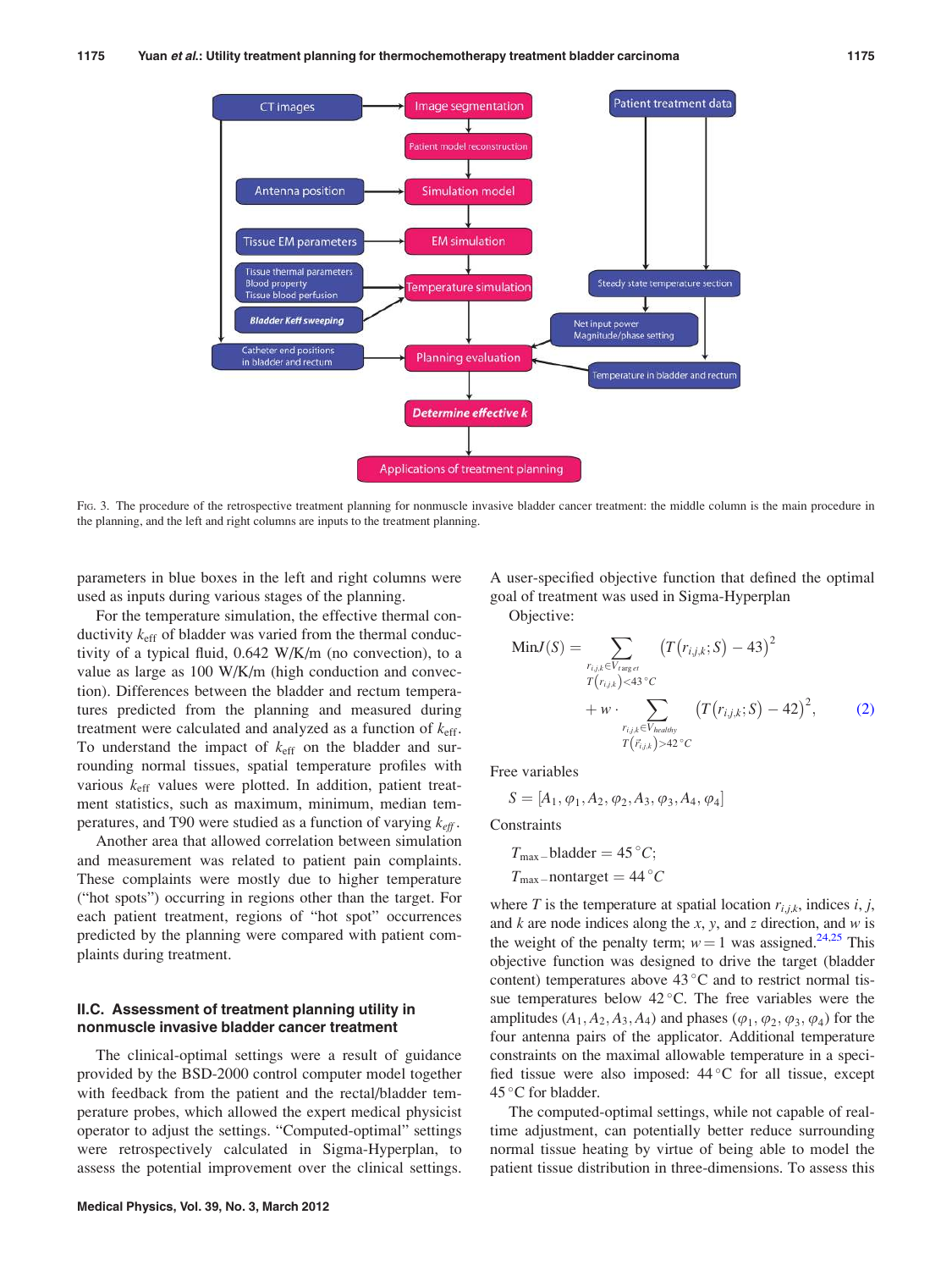

FIG. 3. The procedure of the retrospective treatment planning for nonmuscle invasive bladder cancer treatment: the middle column is the main procedure in the planning, and the left and right columns are inputs to the treatment planning.

parameters in blue boxes in the left and right columns were used as inputs during various stages of the planning.

For the temperature simulation, the effective thermal conductivity  $k_{\text{eff}}$  of bladder was varied from the thermal conductivity of a typical fluid, 0.642 W/K/m (no convection), to a value as large as 100 W/K/m (high conduction and convection). Differences between the bladder and rectum temperatures predicted from the planning and measured during treatment were calculated and analyzed as a function of  $k_{\text{eff}}$ . To understand the impact of  $k<sub>eff</sub>$  on the bladder and surrounding normal tissues, spatial temperature profiles with various  $k<sub>eff</sub>$  values were plotted. In addition, patient treatment statistics, such as maximum, minimum, median temperatures, and T90 were studied as a function of varying  $k_{\text{eff}}$ .

Another area that allowed correlation between simulation and measurement was related to patient pain complaints. These complaints were mostly due to higher temperature ("hot spots") occurring in regions other than the target. For each patient treatment, regions of "hot spot" occurrences predicted by the planning were compared with patient complaints during treatment.

# II.C. Assessment of treatment planning utility in nonmuscle invasive bladder cancer treatment

The clinical-optimal settings were a result of guidance provided by the BSD-2000 control computer model together with feedback from the patient and the rectal/bladder temperature probes, which allowed the expert medical physicist operator to adjust the settings. "Computed-optimal" settings were retrospectively calculated in Sigma-Hyperplan, to assess the potential improvement over the clinical settings.

A user-specified objective function that defined the optimal goal of treatment was used in Sigma-Hyperplan

Objective:

$$
\begin{aligned} \text{Min}J(S) &= \sum_{\substack{r_{i,j,k} \in V_{\text{target}} \\ T(r_{i,j,k}) < 43 \text{ }^{\circ}C}} \left( T(r_{i,j,k};S) - 43 \right)^2 \\ &+ w \cdot \sum_{\substack{r_{i,j,k} \in V_{\text{leading}} \\ T(\vec{r}_{i,j,k}) > 42 \text{ }^{\circ}C}} \left( T(r_{i,j,k};S) - 42 \right)^2, \end{aligned} \tag{2}
$$

Free variables

$$
S = [A_1, \varphi_1, A_2, \varphi_2, A_3, \varphi_3, A_4, \varphi_4]
$$

**Constraints** 

$$
T_{\text{max}}-\text{bladder} = 45^{\circ}C;
$$
  

$$
T_{\text{max}}-\text{nontarget} = 44^{\circ}C
$$

where T is the temperature at spatial location  $r_{i,j,k}$ , indices i, j, and  $k$  are node indices along the  $x$ ,  $y$ , and  $z$  direction, and  $w$  is the weight of the penalty term;  $w = 1$  was assigned.<sup>24,25</sup> This objective function was designed to drive the target (bladder content) temperatures above  $43^{\circ}$ C and to restrict normal tissue temperatures below  $42^{\circ}$ C. The free variables were the amplitudes  $(A_1, A_2, A_3, A_4)$  and phases  $(\varphi_1, \varphi_2, \varphi_3, \varphi_4)$  for the four antenna pairs of the applicator. Additional temperature constraints on the maximal allowable temperature in a specified tissue were also imposed:  $44^{\circ}$ C for all tissue, except 45 °C for bladder.

The computed-optimal settings, while not capable of realtime adjustment, can potentially better reduce surrounding normal tissue heating by virtue of being able to model the patient tissue distribution in three-dimensions. To assess this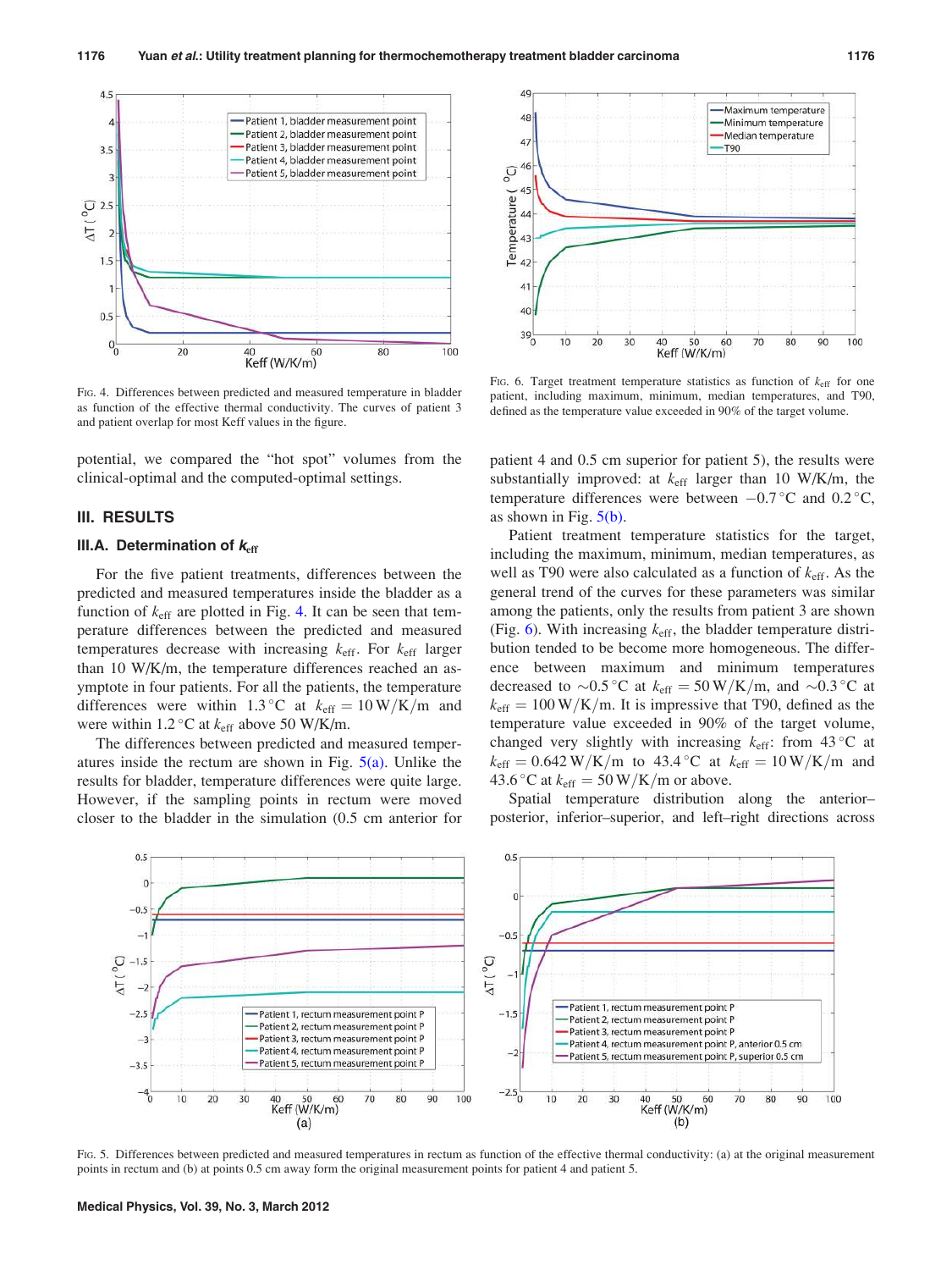

FIG. 4. Differences between predicted and measured temperature in bladder as function of the effective thermal conductivity. The curves of patient 3 and patient overlap for most Keff values in the figure.

potential, we compared the "hot spot" volumes from the clinical-optimal and the computed-optimal settings.

# III. RESULTS

# III.A. Determination of  $k_{\text{eff}}$

For the five patient treatments, differences between the predicted and measured temperatures inside the bladder as a function of  $k_{\text{eff}}$  are plotted in Fig. 4. It can be seen that temperature differences between the predicted and measured temperatures decrease with increasing  $k<sub>eff</sub>$ . For  $k<sub>eff</sub>$  larger than 10 W/K/m, the temperature differences reached an asymptote in four patients. For all the patients, the temperature differences were within 1.3 °C at  $k_{\text{eff}} = 10 \,\text{W/K/m}$  and were within  $1.2 \degree$ C at  $k_{\text{eff}}$  above 50 W/K/m.

The differences between predicted and measured temperatures inside the rectum are shown in Fig.  $5(a)$ . Unlike the results for bladder, temperature differences were quite large. However, if the sampling points in rectum were moved closer to the bladder in the simulation (0.5 cm anterior for



FIG. 6. Target treatment temperature statistics as function of  $k<sub>eff</sub>$  for one patient, including maximum, minimum, median temperatures, and T90, defined as the temperature value exceeded in 90% of the target volume.

patient 4 and 0.5 cm superior for patient 5), the results were substantially improved: at  $k_{\text{eff}}$  larger than 10 W/K/m, the temperature differences were between  $-0.7$  °C and 0.2 °C, as shown in Fig.  $5(b)$ .

Patient treatment temperature statistics for the target, including the maximum, minimum, median temperatures, as well as T90 were also calculated as a function of  $k_{\text{eff}}$ . As the general trend of the curves for these parameters was similar among the patients, only the results from patient 3 are shown (Fig. 6). With increasing  $k_{\text{eff}}$ , the bladder temperature distribution tended to be become more homogeneous. The difference between maximum and minimum temperatures decreased to  $\sim 0.5$  °C at  $k_{\text{eff}} = 50 \,\text{W/K/m}$ , and  $\sim 0.3$  °C at  $k_{\text{eff}} = 100 \,\text{W/K/m}$ . It is impressive that T90, defined as the temperature value exceeded in 90% of the target volume, changed very slightly with increasing  $k_{\text{eff}}$ : from 43 °C at  $k_{\text{eff}} = 0.642 \text{ W/K/m}$  to 43.4 °C at  $k_{\text{eff}} = 10 \text{ W/K/m}$  and 43.6 °C at  $k_{\text{eff}} = 50 \text{ W/K/m}$  or above.

Spatial temperature distribution along the anterior– posterior, inferior–superior, and left–right directions across



FIG. 5. Differences between predicted and measured temperatures in rectum as function of the effective thermal conductivity: (a) at the original measurement points in rectum and (b) at points 0.5 cm away form the original measurement points for patient 4 and patient 5.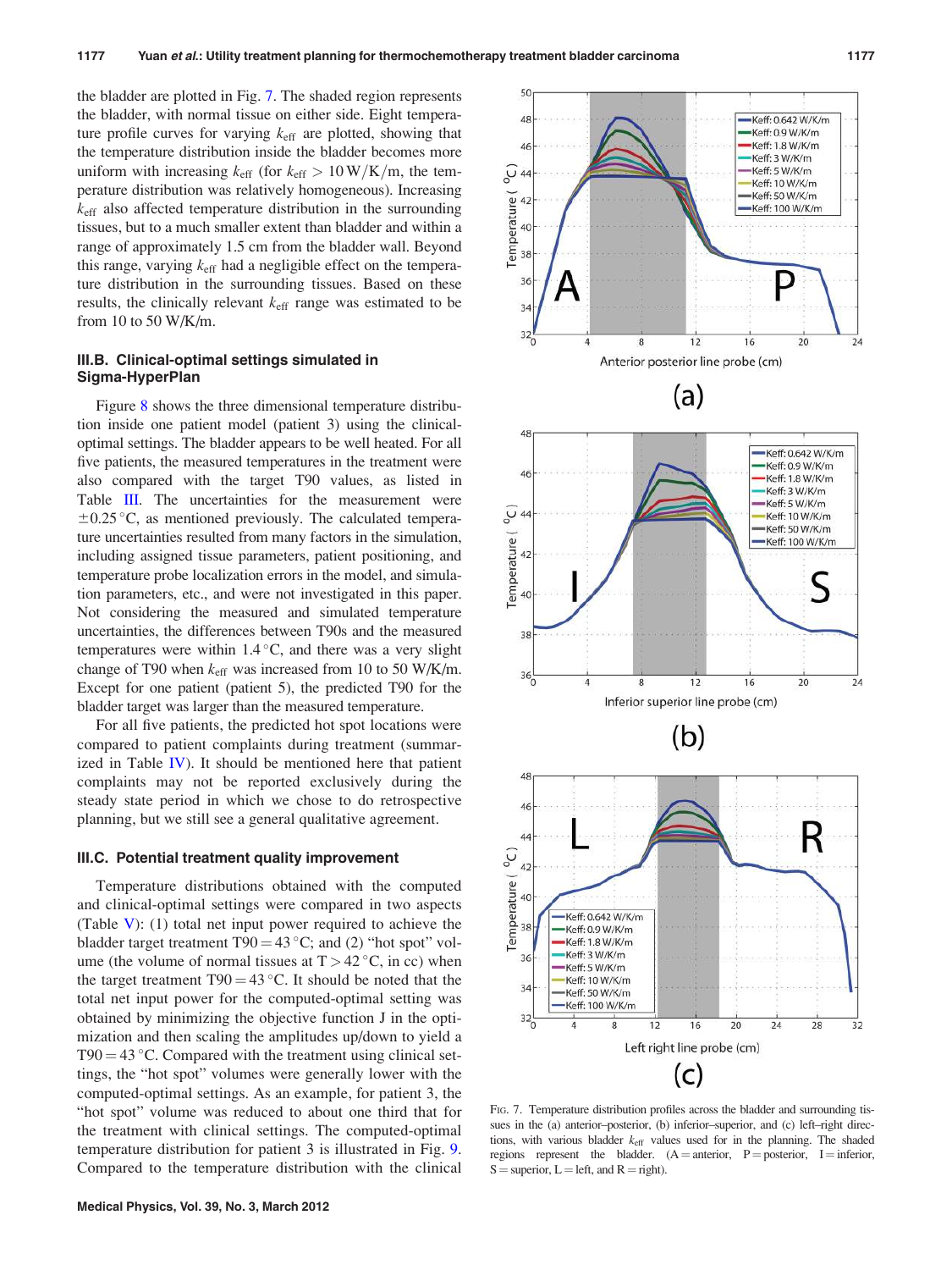the bladder are plotted in Fig. 7. The shaded region represents the bladder, with normal tissue on either side. Eight temperature profile curves for varying  $k<sub>eff</sub>$  are plotted, showing that the temperature distribution inside the bladder becomes more uniform with increasing  $k_{\text{eff}}$  (for  $k_{\text{eff}} > 10 \,\text{W/K/m}$ , the temperature distribution was relatively homogeneous). Increasing  $k<sub>eff</sub>$  also affected temperature distribution in the surrounding tissues, but to a much smaller extent than bladder and within a range of approximately 1.5 cm from the bladder wall. Beyond this range, varying  $k_{\text{eff}}$  had a negligible effect on the temperature distribution in the surrounding tissues. Based on these results, the clinically relevant  $k_{\text{eff}}$  range was estimated to be from 10 to 50 W/K/m.

# III.B. Clinical-optimal settings simulated in Sigma-HyperPlan

Figure 8 shows the three dimensional temperature distribution inside one patient model (patient 3) using the clinicaloptimal settings. The bladder appears to be well heated. For all five patients, the measured temperatures in the treatment were also compared with the target T90 values, as listed in Table III. The uncertainties for the measurement were  $\pm 0.25$  °C, as mentioned previously. The calculated temperature uncertainties resulted from many factors in the simulation, including assigned tissue parameters, patient positioning, and temperature probe localization errors in the model, and simulation parameters, etc., and were not investigated in this paper. Not considering the measured and simulated temperature uncertainties, the differences between T90s and the measured temperatures were within  $1.4\textdegree C$ , and there was a very slight change of T90 when  $k_{\text{eff}}$  was increased from 10 to 50 W/K/m. Except for one patient (patient 5), the predicted T90 for the bladder target was larger than the measured temperature.

For all five patients, the predicted hot spot locations were compared to patient complaints during treatment (summarized in Table IV). It should be mentioned here that patient complaints may not be reported exclusively during the steady state period in which we chose to do retrospective planning, but we still see a general qualitative agreement.

#### III.C. Potential treatment quality improvement

Temperature distributions obtained with the computed and clinical-optimal settings were compared in two aspects (Table V): (1) total net input power required to achieve the bladder target treatment  $T90 = 43 \degree C$ ; and (2) "hot spot" volume (the volume of normal tissues at  $T > 42^{\circ}$ C, in cc) when the target treatment T90 =  $43^{\circ}$ C. It should be noted that the total net input power for the computed-optimal setting was obtained by minimizing the objective function J in the optimization and then scaling the amplitudes up/down to yield a  $T90 = 43$  °C. Compared with the treatment using clinical settings, the "hot spot" volumes were generally lower with the computed-optimal settings. As an example, for patient 3, the "hot spot" volume was reduced to about one third that for the treatment with clinical settings. The computed-optimal temperature distribution for patient 3 is illustrated in Fig. 9. Compared to the temperature distribution with the clinical



FIG. 7. Temperature distribution profiles across the bladder and surrounding tissues in the (a) anterior–posterior, (b) inferior–superior, and (c) left–right directions, with various bladder  $k_{eff}$  values used for in the planning. The shaded regions represent the bladder.  $(A = \text{ anterior}, P = \text{posterior}, I = \text{inferior},$  $S =$  superior,  $L =$  left, and  $R =$  right).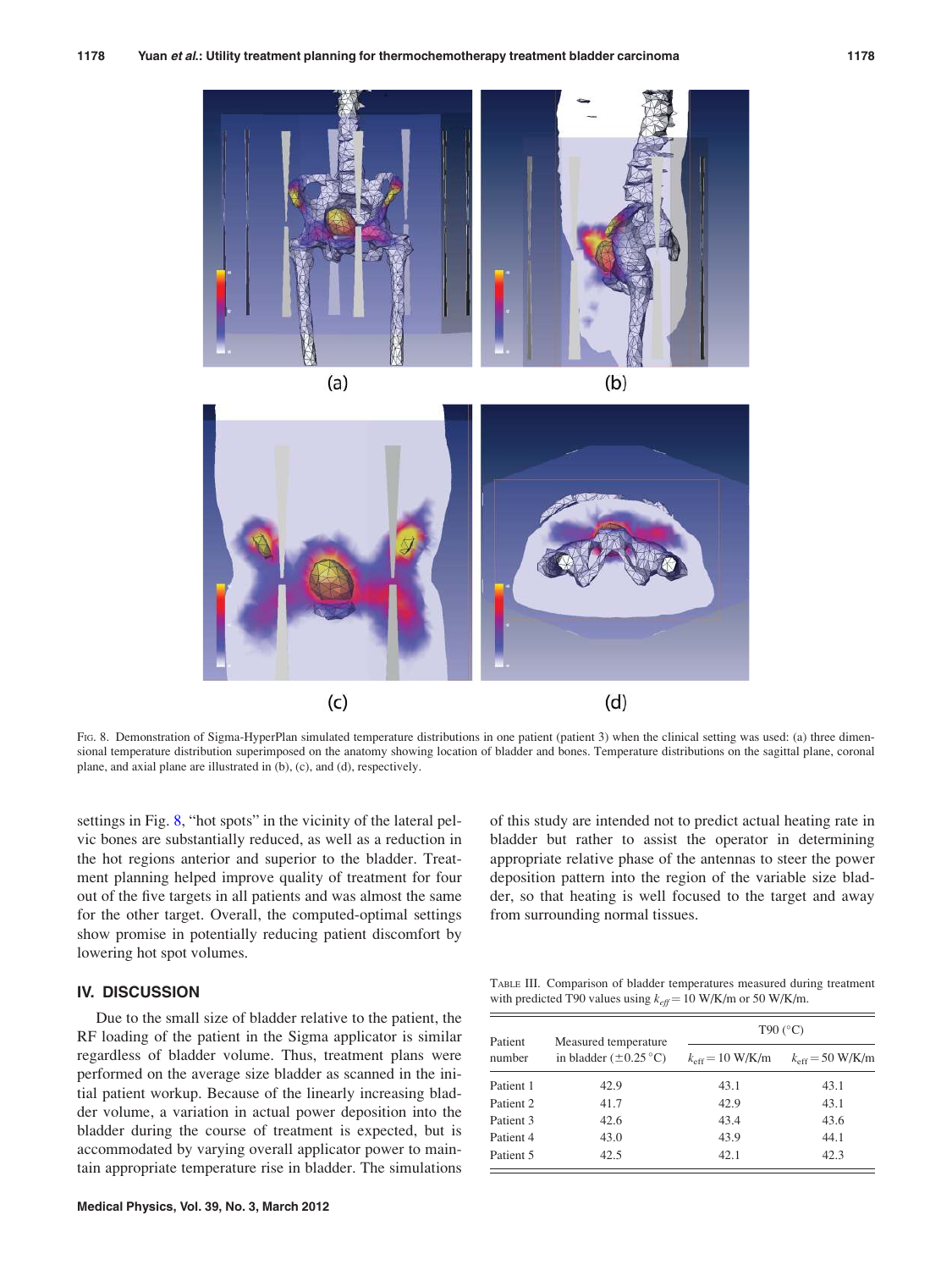

FIG. 8. Demonstration of Sigma-HyperPlan simulated temperature distributions in one patient (patient 3) when the clinical setting was used: (a) three dimensional temperature distribution superimposed on the anatomy showing location of bladder and bones. Temperature distributions on the sagittal plane, coronal plane, and axial plane are illustrated in (b), (c), and (d), respectively.

settings in Fig. 8, "hot spots" in the vicinity of the lateral pelvic bones are substantially reduced, as well as a reduction in the hot regions anterior and superior to the bladder. Treatment planning helped improve quality of treatment for four out of the five targets in all patients and was almost the same for the other target. Overall, the computed-optimal settings show promise in potentially reducing patient discomfort by lowering hot spot volumes.

# IV. DISCUSSION

Due to the small size of bladder relative to the patient, the RF loading of the patient in the Sigma applicator is similar regardless of bladder volume. Thus, treatment plans were performed on the average size bladder as scanned in the initial patient workup. Because of the linearly increasing bladder volume, a variation in actual power deposition into the bladder during the course of treatment is expected, but is accommodated by varying overall applicator power to maintain appropriate temperature rise in bladder. The simulations of this study are intended not to predict actual heating rate in bladder but rather to assist the operator in determining appropriate relative phase of the antennas to steer the power deposition pattern into the region of the variable size bladder, so that heating is well focused to the target and away from surrounding normal tissues.

TABLE III. Comparison of bladder temperatures measured during treatment with predicted T90 values using  $k_{\text{eff}} = 10 \text{ W/K/m}$  or 50 W/K/m.

| Patient<br>number    | Measured temperature<br>in bladder $(\pm 0.25^{\circ}C)$ | T90 $(^{\circ}C)$                   |                          |  |
|----------------------|----------------------------------------------------------|-------------------------------------|--------------------------|--|
|                      |                                                          | $k_{\text{eff}} = 10 \text{ W/K/m}$ | $k_{\rm eff}$ = 50 W/K/m |  |
| Patient 1            | 42.9                                                     | 43.1                                | 43.1                     |  |
| Patient <sub>2</sub> | 41.7                                                     | 42.9                                | 43.1                     |  |
| Patient <sub>3</sub> | 42.6                                                     | 43.4                                | 43.6                     |  |
| Patient <sub>4</sub> | 43.0                                                     | 43.9                                | 44.1                     |  |
| Patient 5            | 42.5                                                     | 42.1                                | 42.3                     |  |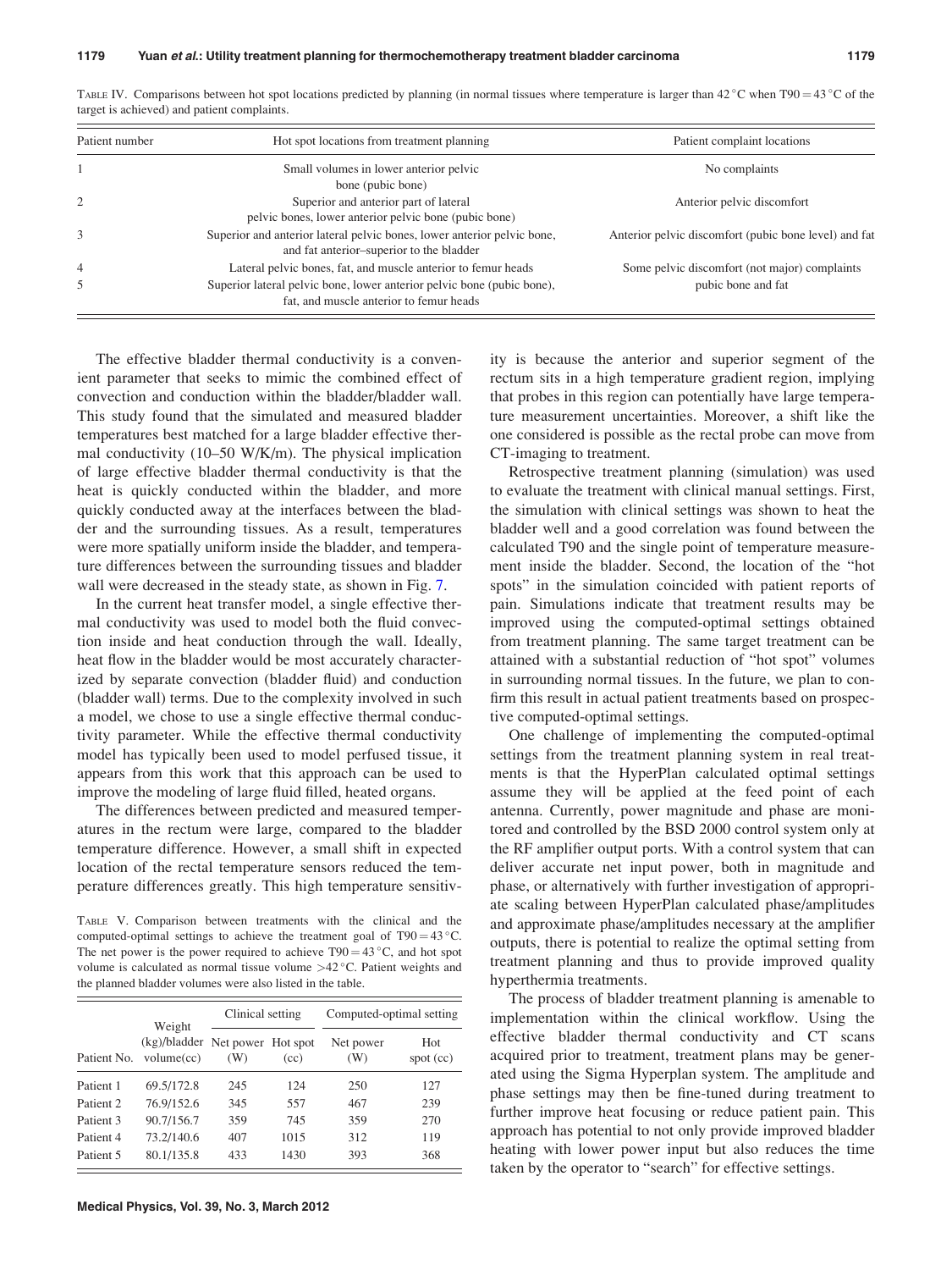| Patient number | Hot spot locations from treatment planning                                                                          | Patient complaint locations<br>No complaints          |  |
|----------------|---------------------------------------------------------------------------------------------------------------------|-------------------------------------------------------|--|
|                | Small volumes in lower anterior pelvic<br>bone (pubic bone)                                                         |                                                       |  |
| 2              | Superior and anterior part of lateral<br>pelvic bones, lower anterior pelvic bone (pubic bone)                      | Anterior pelvic discomfort                            |  |
| 3              | Superior and anterior lateral pelvic bones, lower anterior pelvic bone,<br>and fat anterior-superior to the bladder | Anterior pelvic discomfort (pubic bone level) and fat |  |
| $\overline{4}$ | Lateral pelvic bones, fat, and muscle anterior to femur heads                                                       | Some pelvic discomfort (not major) complaints         |  |
| 5              | Superior lateral pelvic bone, lower anterior pelvic bone (pubic bone),<br>fat, and muscle anterior to femur heads   | pubic bone and fat                                    |  |

TABLE IV. Comparisons between hot spot locations predicted by planning (in normal tissues where temperature is larger than  $42^{\circ}$ C when T90 =  $43^{\circ}$ C of the target is achieved) and patient complaints.

The effective bladder thermal conductivity is a convenient parameter that seeks to mimic the combined effect of convection and conduction within the bladder/bladder wall. This study found that the simulated and measured bladder temperatures best matched for a large bladder effective thermal conductivity (10–50 W/K/m). The physical implication of large effective bladder thermal conductivity is that the heat is quickly conducted within the bladder, and more quickly conducted away at the interfaces between the bladder and the surrounding tissues. As a result, temperatures were more spatially uniform inside the bladder, and temperature differences between the surrounding tissues and bladder wall were decreased in the steady state, as shown in Fig. 7.

In the current heat transfer model, a single effective thermal conductivity was used to model both the fluid convection inside and heat conduction through the wall. Ideally, heat flow in the bladder would be most accurately characterized by separate convection (bladder fluid) and conduction (bladder wall) terms. Due to the complexity involved in such a model, we chose to use a single effective thermal conductivity parameter. While the effective thermal conductivity model has typically been used to model perfused tissue, it appears from this work that this approach can be used to improve the modeling of large fluid filled, heated organs.

The differences between predicted and measured temperatures in the rectum were large, compared to the bladder temperature difference. However, a small shift in expected location of the rectal temperature sensors reduced the temperature differences greatly. This high temperature sensitiv-

TABLE V. Comparison between treatments with the clinical and the computed-optimal settings to achieve the treatment goal of T90 =  $43^{\circ}$ C. The net power is the power required to achieve  $T90 = 43 \degree C$ , and hot spot volume is calculated as normal tissue volume  $>42^{\circ}$ C. Patient weights and the planned bladder volumes were also listed in the table.

|                      | Weight                                        | Clinical setting |      | Computed-optimal setting |                    |
|----------------------|-----------------------------------------------|------------------|------|--------------------------|--------------------|
| Patient No.          | (kg)/bladder Net power Hot spot<br>volume(cc) | (W)              | (cc) | Net power<br>(W)         | Hot<br>$spot$ (cc) |
| Patient 1            | 69.5/172.8                                    | 245              | 124  | 250                      | 127                |
| Patient <sub>2</sub> | 76.9/152.6                                    | 345              | 557  | 467                      | 239                |
| Patient <sub>3</sub> | 90.7/156.7                                    | 359              | 745  | 359                      | 270                |
| Patient 4            | 73.2/140.6                                    | 407              | 1015 | 312                      | 119                |
| Patient 5            | 80.1/135.8                                    | 433              | 1430 | 393                      | 368                |

ity is because the anterior and superior segment of the rectum sits in a high temperature gradient region, implying that probes in this region can potentially have large temperature measurement uncertainties. Moreover, a shift like the one considered is possible as the rectal probe can move from CT-imaging to treatment.

Retrospective treatment planning (simulation) was used to evaluate the treatment with clinical manual settings. First, the simulation with clinical settings was shown to heat the bladder well and a good correlation was found between the calculated T90 and the single point of temperature measurement inside the bladder. Second, the location of the "hot spots" in the simulation coincided with patient reports of pain. Simulations indicate that treatment results may be improved using the computed-optimal settings obtained from treatment planning. The same target treatment can be attained with a substantial reduction of "hot spot" volumes in surrounding normal tissues. In the future, we plan to confirm this result in actual patient treatments based on prospective computed-optimal settings.

One challenge of implementing the computed-optimal settings from the treatment planning system in real treatments is that the HyperPlan calculated optimal settings assume they will be applied at the feed point of each antenna. Currently, power magnitude and phase are monitored and controlled by the BSD 2000 control system only at the RF amplifier output ports. With a control system that can deliver accurate net input power, both in magnitude and phase, or alternatively with further investigation of appropriate scaling between HyperPlan calculated phase/amplitudes and approximate phase/amplitudes necessary at the amplifier outputs, there is potential to realize the optimal setting from treatment planning and thus to provide improved quality hyperthermia treatments.

The process of bladder treatment planning is amenable to implementation within the clinical workflow. Using the effective bladder thermal conductivity and CT scans acquired prior to treatment, treatment plans may be generated using the Sigma Hyperplan system. The amplitude and phase settings may then be fine-tuned during treatment to further improve heat focusing or reduce patient pain. This approach has potential to not only provide improved bladder heating with lower power input but also reduces the time taken by the operator to "search" for effective settings.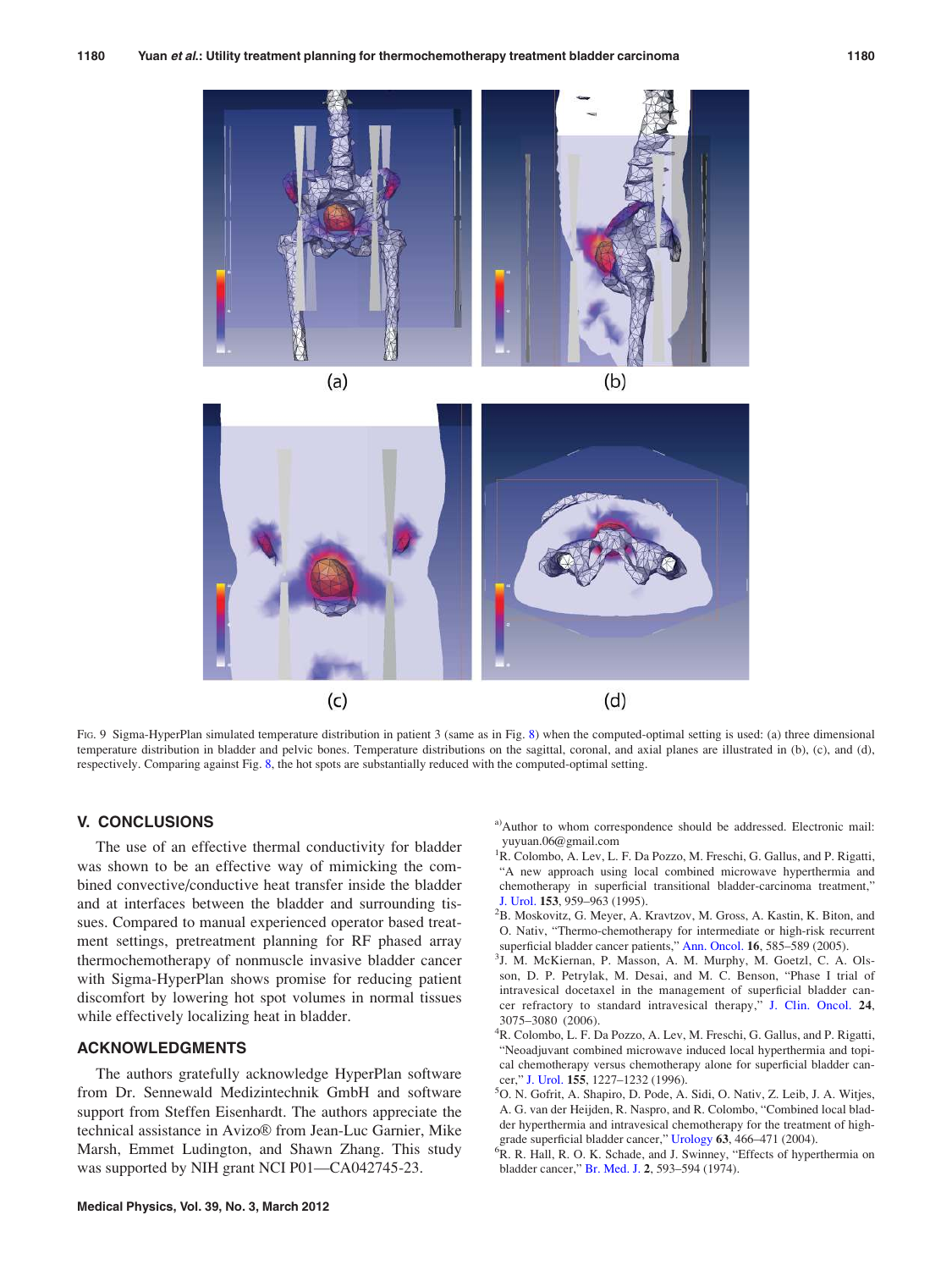

FIG. 9 Sigma-HyperPlan simulated temperature distribution in patient 3 (same as in Fig. 8) when the computed-optimal setting is used: (a) three dimensional temperature distribution in bladder and pelvic bones. Temperature distributions on the sagittal, coronal, and axial planes are illustrated in (b), (c), and (d), respectively. Comparing against Fig. 8, the hot spots are substantially reduced with the computed-optimal setting.

# V. CONCLUSIONS

The use of an effective thermal conductivity for bladder was shown to be an effective way of mimicking the combined convective/conductive heat transfer inside the bladder and at interfaces between the bladder and surrounding tissues. Compared to manual experienced operator based treatment settings, pretreatment planning for RF phased array thermochemotherapy of nonmuscle invasive bladder cancer with Sigma-HyperPlan shows promise for reducing patient discomfort by lowering hot spot volumes in normal tissues while effectively localizing heat in bladder.

# ACKNOWLEDGMENTS

The authors gratefully acknowledge HyperPlan software from Dr. Sennewald Medizintechnik GmbH and software support from Steffen Eisenhardt. The authors appreciate the technical assistance in Avizo® from Jean-Luc Garnier, Mike Marsh, Emmet Ludington, and Shawn Zhang. This study was supported by NIH grant NCI P01—CA042745-23.

- a)Author to whom correspondence should be addressed. Electronic mail: yuyuan.06@gmail.com
- ${}^{1}$ R. Colombo, A. Lev, L. F. Da Pozzo, M. Freschi, G. Gallus, and P. Rigatti, "A new approach using local combined microwave hyperthermia and chemotherapy in superficial transitional bladder-carcinoma treatment," J. Urol. 153, 959–963 (1995).
- <sup>2</sup>B. Moskovitz, G. Meyer, A. Kravtzov, M. Gross, A. Kastin, K. Biton, and O. Nativ, "Thermo-chemotherapy for intermediate or high-risk recurrent superficial bladder cancer patients," Ann. Oncol. 16, 585–589 (2005).
- 3 J. M. McKiernan, P. Masson, A. M. Murphy, M. Goetzl, C. A. Olsson, D. P. Petrylak, M. Desai, and M. C. Benson, "Phase I trial of intravesical docetaxel in the management of superficial bladder cancer refractory to standard intravesical therapy," J. Clin. Oncol. 24, 3075–3080 (2006).
- <sup>4</sup>R. Colombo, L. F. Da Pozzo, A. Lev, M. Freschi, G. Gallus, and P. Rigatti, "Neoadjuvant combined microwave induced local hyperthermia and topical chemotherapy versus chemotherapy alone for superficial bladder cancer," J. Urol. 155, 1227–1232 (1996).
- <sup>5</sup>O. N. Gofrit, A. Shapiro, D. Pode, A. Sidi, O. Nativ, Z. Leib, J. A. Witjes, A. G. van der Heijden, R. Naspro, and R. Colombo, "Combined local bladder hyperthermia and intravesical chemotherapy for the treatment of highgrade superficial bladder cancer," Urology 63, 466–471 (2004).
- <sup>6</sup>R. R. Hall, R. O. K. Schade, and J. Swinney, "Effects of hyperthermia on bladder cancer," Br. Med. J. 2, 593–594 (1974).